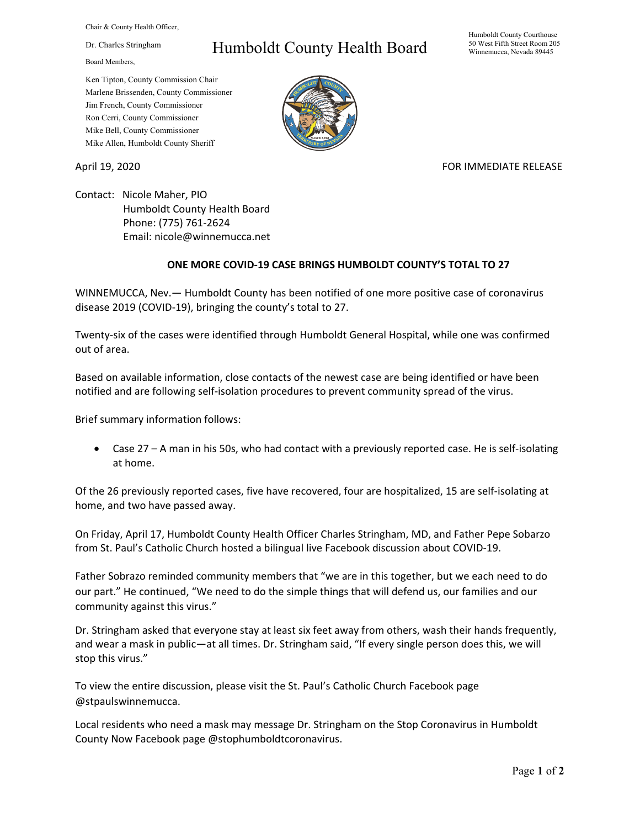Chair & County Health Officer,

Dr. Charles Stringham

Board Members,

## Humboldt County Health Board

Humboldt County Courthouse 50 West Fifth Street Room 205 Winnemucca, Nevada 89445

Ken Tipton, County Commission Chair Marlene Brissenden, County Commissioner Jim French, County Commissioner Ron Cerri, County Commissioner Mike Bell, County Commissioner Mike Allen, Humboldt County Sheriff

April 19, 2020 **FOR IMMEDIATE RELEASE** 

Contact: Nicole Maher, PIO Humboldt County Health Board Phone: (775) 761-2624 Email: nicole@winnemucca.net

## **ONE MORE COVID-19 CASE BRINGS HUMBOLDT COUNTY'S TOTAL TO 27**

WINNEMUCCA, Nev.— Humboldt County has been notified of one more positive case of coronavirus disease 2019 (COVID-19), bringing the county's total to 27.

Twenty-six of the cases were identified through Humboldt General Hospital, while one was confirmed out of area.

Based on available information, close contacts of the newest case are being identified or have been notified and are following self-isolation procedures to prevent community spread of the virus.

Brief summary information follows:

• Case 27 – A man in his 50s, who had contact with a previously reported case. He is self-isolating at home.

Of the 26 previously reported cases, five have recovered, four are hospitalized, 15 are self-isolating at home, and two have passed away.

On Friday, April 17, Humboldt County Health Officer Charles Stringham, MD, and Father Pepe Sobarzo from St. Paul's Catholic Church hosted a bilingual live Facebook discussion about COVID-19.

Father Sobrazo reminded community members that "we are in this together, but we each need to do our part." He continued, "We need to do the simple things that will defend us, our families and our community against this virus."

Dr. Stringham asked that everyone stay at least six feet away from others, wash their hands frequently, and wear a mask in public—at all times. Dr. Stringham said, "If every single person does this, we will stop this virus."

To view the entire discussion, please visit the St. Paul's Catholic Church Facebook page @stpaulswinnemucca.

Local residents who need a mask may message Dr. Stringham on the Stop Coronavirus in Humboldt County Now Facebook page @stophumboldtcoronavirus.